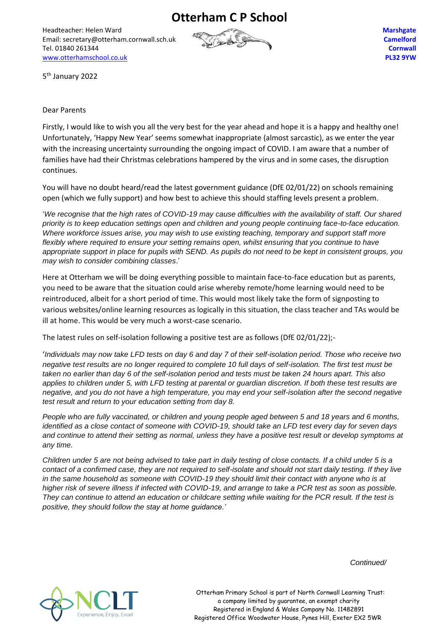**Otterham C P School**

Headteacher: Helen Ward Email: secretary@otterham.cornwall.sch.uk Tel. 01840 261344 [www.otterhamschool.co.uk](http://www.otterhamschool.co.uk/)



**Marshgate Camelford Cornwall PL32 9YW**

5<sup>th</sup> January 2022

## Dear Parents

Firstly, I would like to wish you all the very best for the year ahead and hope it is a happy and healthy one! Unfortunately, 'Happy New Year' seems somewhat inappropriate (almost sarcastic), as we enter the year with the increasing uncertainty surrounding the ongoing impact of COVID. I am aware that a number of families have had their Christmas celebrations hampered by the virus and in some cases, the disruption continues.

You will have no doubt heard/read the latest government guidance (DfE 02/01/22) on schools remaining open (which we fully support) and how best to achieve this should staffing levels present a problem.

'*We recognise that the high rates of COVID-19 may cause difficulties with the availability of staff. Our shared priority is to keep education settings open and children and young people continuing face-to-face education. Where workforce issues arise, you may wish to use existing teaching, temporary and support staff more flexibly where required to ensure your setting remains open, whilst ensuring that you continue to have appropriate support in place for pupils with SEND. As pupils do not need to be kept in consistent groups, you may wish to consider combining classes*.'

Here at Otterham we will be doing everything possible to maintain face-to-face education but as parents, you need to be aware that the situation could arise whereby remote/home learning would need to be reintroduced, albeit for a short period of time. This would most likely take the form of signposting to various websites/online learning resources as logically in this situation, the class teacher and TAs would be ill at home. This would be very much a worst-case scenario.

The latest rules on self-isolation following a positive test are as follows (DfE 02/01/22);-

'*Individuals may now take LFD tests on day 6 and day 7 of their self-isolation period. Those who receive two negative test results are no longer required to complete 10 full days of self-isolation. The first test must be taken no earlier than day 6 of the self-isolation period and tests must be taken 24 hours apart. This also applies to children under 5, with LFD testing at parental or guardian discretion. If both these test results are negative, and you do not have a high temperature, you may end your self-isolation after the second negative test result and return to your education setting from day 8.*

*People who are fully vaccinated, or children and young people aged between 5 and 18 years and 6 months, identified as a close contact of someone with COVID-19, should take an LFD test every day for seven days and continue to attend their setting as normal, unless they have a positive test result or develop symptoms at any time.*

*Children under 5 are not being advised to take part in daily testing of close contacts. If a child under 5 is a contact of a confirmed case, they are not required to self-isolate and should not start daily testing. If they live in the same household as someone with COVID-19 they should limit their contact with anyone who is at higher risk of severe illness if infected with COVID-19, and arrange to take a PCR test as soon as possible. They can continue to attend an education or childcare setting while waiting for the PCR result. If the test is positive, they should follow the stay at home guidance.'*

 *Continued/*



 Otterham Primary School is part of North Cornwall Learning Trust: a company limited by guarantee, an exempt charity Registered in England & Wales Company No. 11482891 Registered Office Woodwater House, Pynes Hill, Exeter EX2 5WR